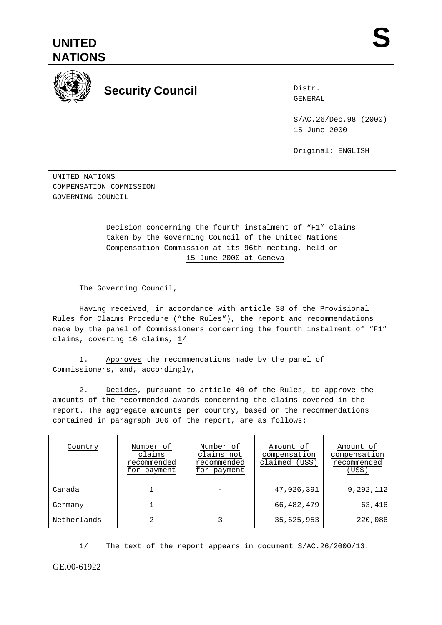



## **Security Council** External Security of Security Council

Distr.

S/AC.26/Dec.98 (2000) 15 June 2000

Original: ENGLISH

UNITED NATIONS COMPENSATION COMMISSION GOVERNING COUNCIL

## Decision concerning the fourth instalment of "F1" claims taken by the Governing Council of the United Nations Compensation Commission at its 96th meeting, held on 15 June 2000 at Geneva

The Governing Council,

Having received, in accordance with article 38 of the Provisional Rules for Claims Procedure ("the Rules"), the report and recommendations made by the panel of Commissioners concerning the fourth instalment of "F1" claims, covering 16 claims, 1/

1. Approves the recommendations made by the panel of Commissioners, and, accordingly,

2. Decides, pursuant to article 40 of the Rules, to approve the amounts of the recommended awards concerning the claims covered in the report. The aggregate amounts per country, based on the recommendations contained in paragraph 306 of the report, are as follows:

| Country     | Number of<br>claims<br>recommended<br>for payment | Number of<br>claims not<br>recommended<br>for payment | Amount of<br>compensation<br>claimed (US\$) | Amount of<br>compensation<br>recommended<br>(US\$) |
|-------------|---------------------------------------------------|-------------------------------------------------------|---------------------------------------------|----------------------------------------------------|
| Canada      |                                                   |                                                       | 47,026,391                                  | 9,292,112                                          |
| Germany     |                                                   |                                                       | 66,482,479                                  | 63,416                                             |
| Netherlands | 2                                                 |                                                       | 35,625,953                                  | 220,086                                            |

1/ The text of the report appears in document S/AC.26/2000/13.

GE.00-61922

 $\overline{a}$